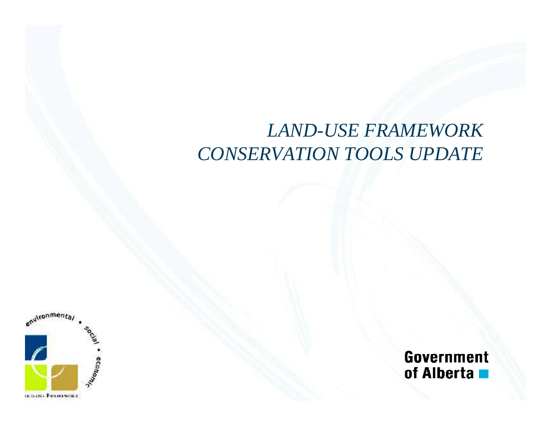#### $LAND\text{-}USE\ FRAMEWORK$ *CONSERVATION TOOLS UPDATE*



**Government** of Alberta **n**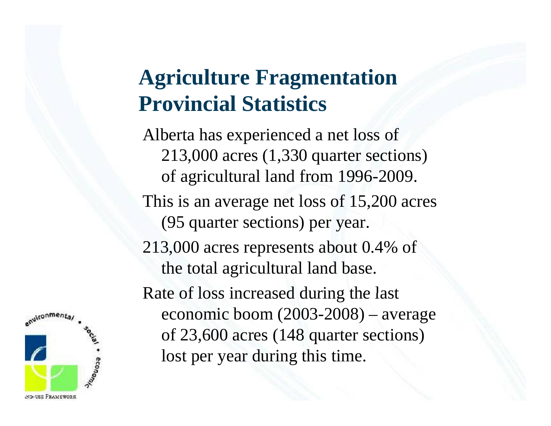## **Agriculture Fragmentation Provincial Statistics**

Alberta has experienced a net loss of 213,000 acres (1,330 quarter sections) of agricultural land from 1996-2009. This is an average net loss of 15,200 acres (95 quarter sections) per year. 213,000 acres represents about 0.4% of the total agricultural land base. Rate of loss increased during the last economic boom (2003-2008) – average of 23,600 acres (148 quarter sections) lost per year during this time.

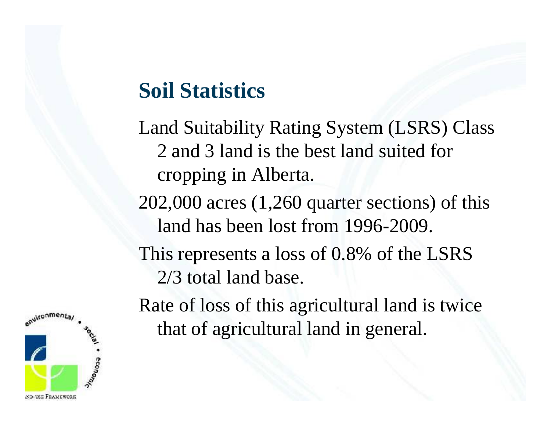#### **Soil Statistics**

Land Suitability Rating System (LSRS) Class 2 and 3 land is the best land suited for cropping in Alberta.

202,000 acres (1,260 quarter sections) of this land has been lost from 1996-2009.

This represents a loss of 0.8% of the LSRS 2/3 total land base.

Rate of loss of this agricultural land is twice that of agricultural land in general.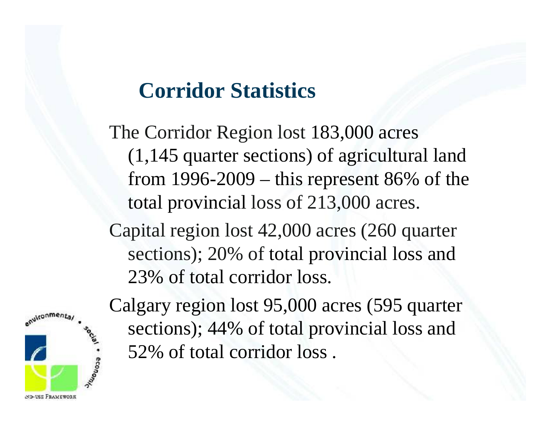#### **Corridor Statistics**

The Corridor Region lost 183,000 acres (1,145 quarter sections) of agricultural land from 1996-2009 – this re present 86% of the total provincial loss of 213,000 acres.

Capital region lost 42,000 acres (260 quarter sections); 20% of total provincial loss and 23% of total corridor loss.



Calgary region lost 95,000 acres (595 quarter sections); 44% of total provincial loss and 52% of total corridor loss.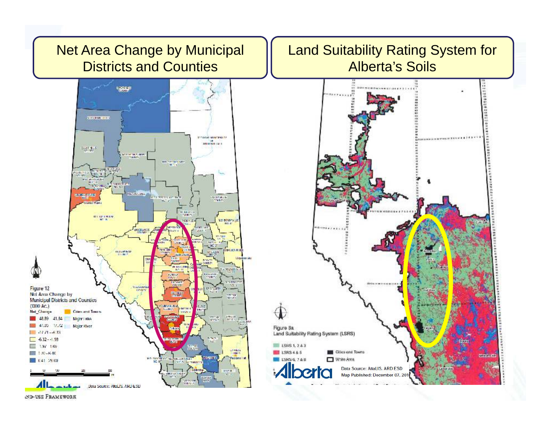

Land Suitability Rating System for Alberta's Soils



ND-USE FRAMEWORK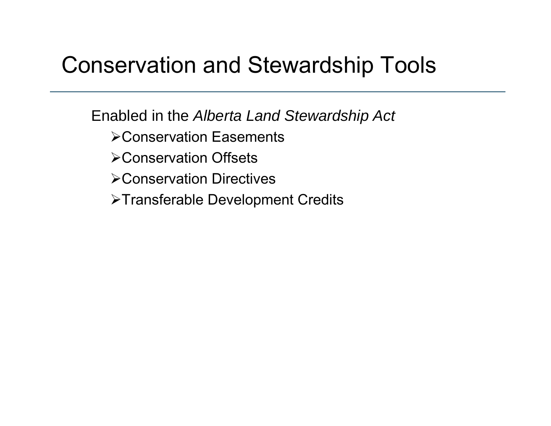## Conservation and Stewardship Tools

Enabled in the *Alberta Land Stewardship Act* 

- ≻Conservation Easements
- Conservation Offsets
- Conservation Directives
- >Transferable Development Credits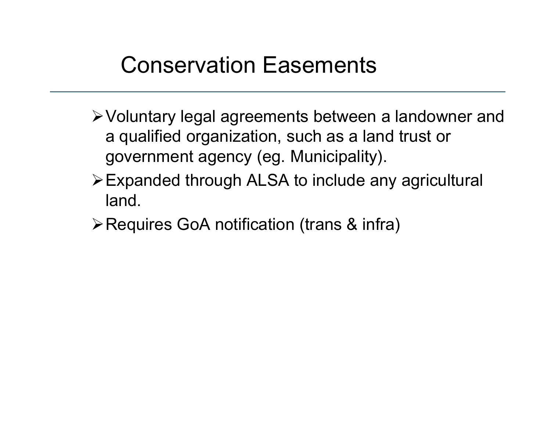# Conservation Easements

- Voluntary legal agreements between a landowner and a qualified organization, such as a land trust or government agency (eg. Municipality).
- $\triangleright$  Expanded through ALSA to include any agricultural land.
- Requires GoA notification (trans & infra)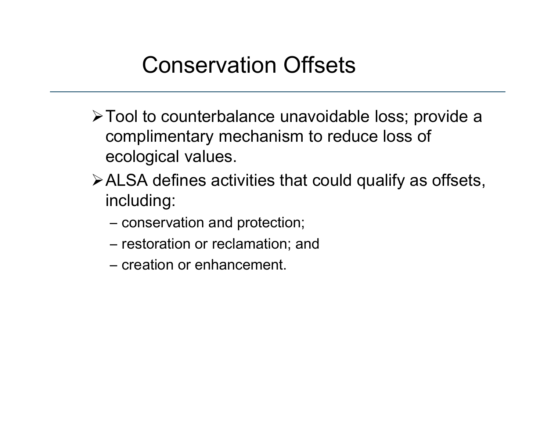- Tool to counterbalance unavoidable loss; provide a complimentary mechanism to reduce loss of ecological values.
- $\triangleright$  ALSA defines activities that could qualify as offsets, including:
	- conservation and protection;
	- restoration or reclamation; and
	- creation or enhancement.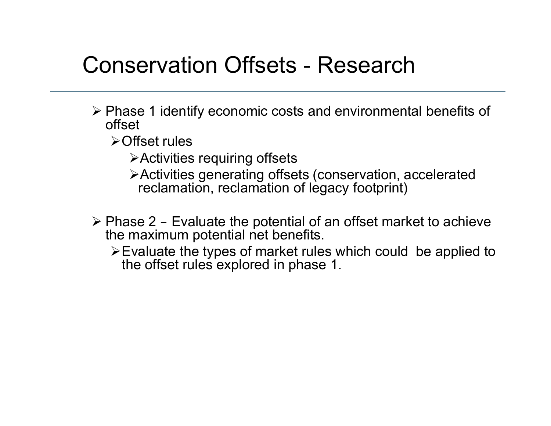### Conservation Offsets - Research

- Phase 1 identify economic costs and environmental benefits of offset
	- **≻Offset rules** 
		- Activities requiring offsets
		- Activities generating offsets (conservation, accelerated reclamation, reclamation of legacy footprint)
- ≽ Phase 2 Evaluate the potential of an offset market to achieve the maximum potential net benefits.
	- $\triangleright$  Evaluate the types of market rules which could be applied to the offset rules explored in phase 1.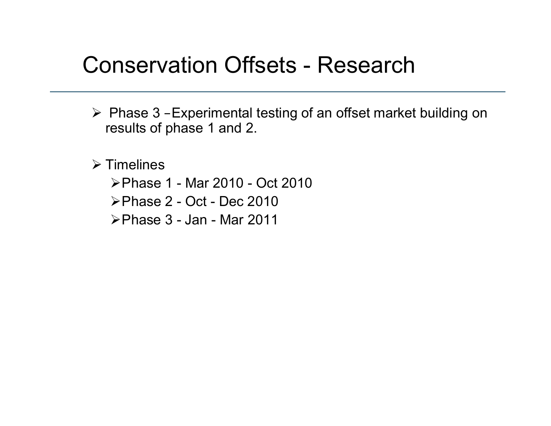#### Conservation Offsets - Research

 Phase 3 –Experimental testing of an offset market building on results of phase 1 and 2. 1 and

 $\triangleright$  Timelines

- Phase 1 - Mar 2010 2010 Oct 2010
- Phase 2 Oct Dec 2010
- Phase 3 Jan Mar 2011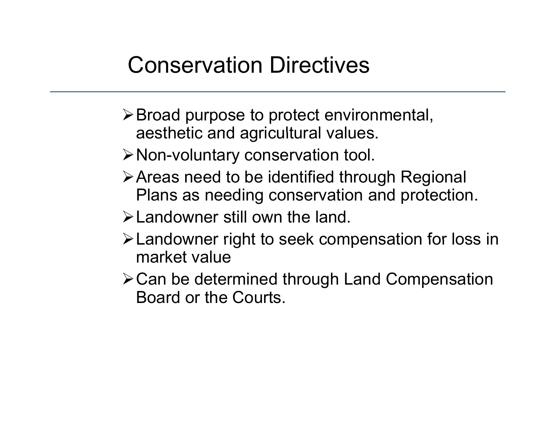- Broad purpose to protect environmental, aesthetic and agricultural values.
- Non-voluntary conservation tool.
- > Areas need to be identified through Regional Plans as needing conservation and protection.
- Landowner still own the land.
- Landowner right to seek compensation for loss in market value
- Can be determined through Land Compensation Board or the Courts.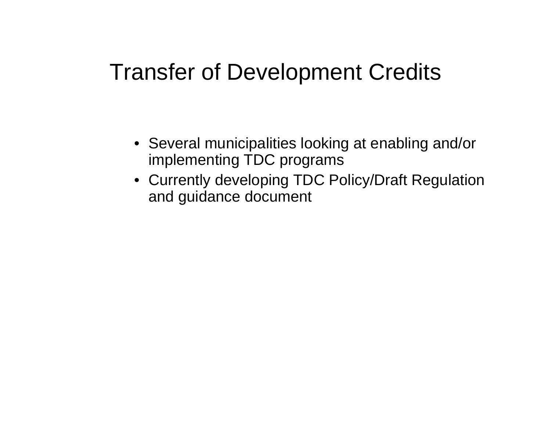#### **Transfer of Development Credits**

- Several municipalities looking at enabling and/or implementing TDC programs
- Currently developing TDC Policy/Draft Regulation and guidance document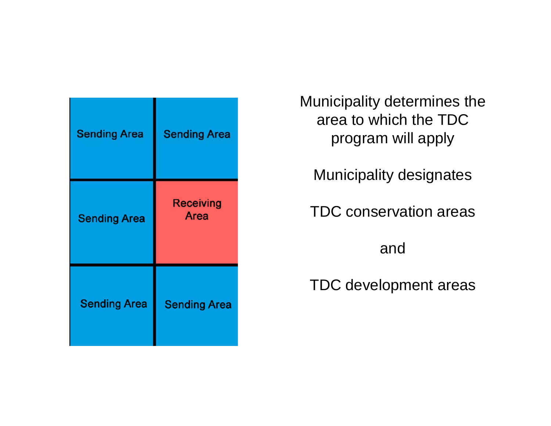| <b>Sending Area</b> | <b>Sending Area</b>      |
|---------------------|--------------------------|
| <b>Sending Area</b> | <b>Receiving</b><br>Area |
| <b>Sending Area</b> | <b>Sending Area</b>      |

Municipality determines the area to which the TDC program will apply

Municipality designates

TDC conservation areas

and

TDC develo pment areas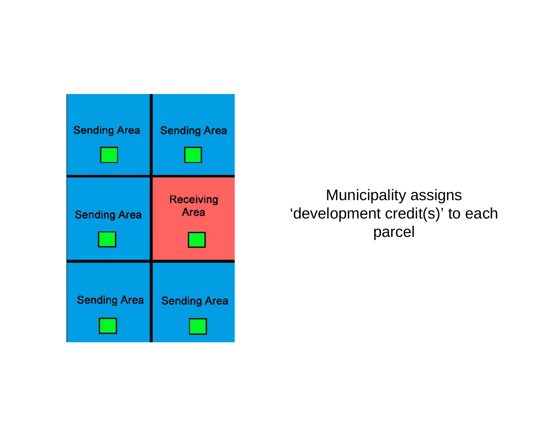

Municipality assigns 'development credit(s)' to each parcel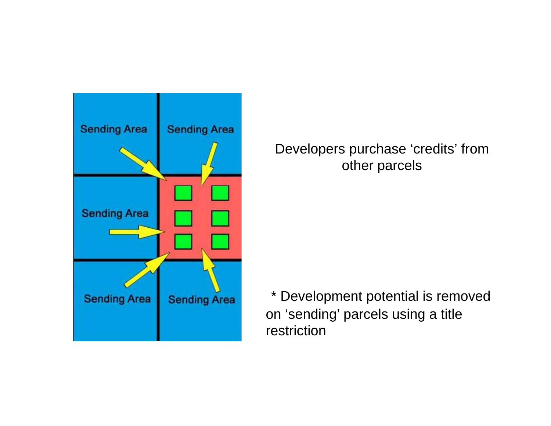

Developers purchase 'credits' from other parcels

\* Development potential is removed on 'sending' parcels using a title restriction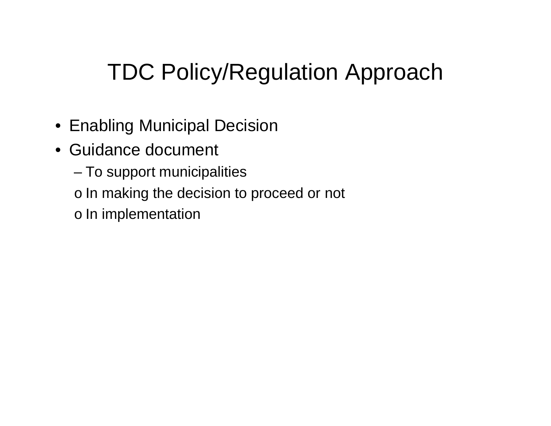# TDC Policy/Regulation Approach

- $\bullet\,$  Enabling Municipal Decision  $\,$
- Guidance document
	- To support municipalities
	- o In making the decision to proceed or not
	- o In implementation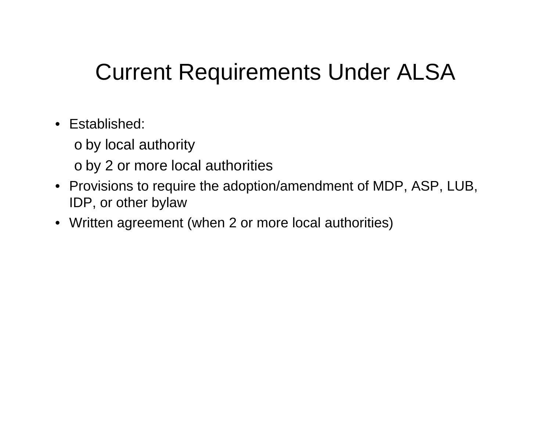# Current Requirements Under ALSA

- Established:
	- o by local authority
	- o by 2 or more local authorities
- Provisions to require the adoption/amendment of MDP, ASP, LUB, IDP, or other bylaw
- Written agreement (when 2 or more local authorities)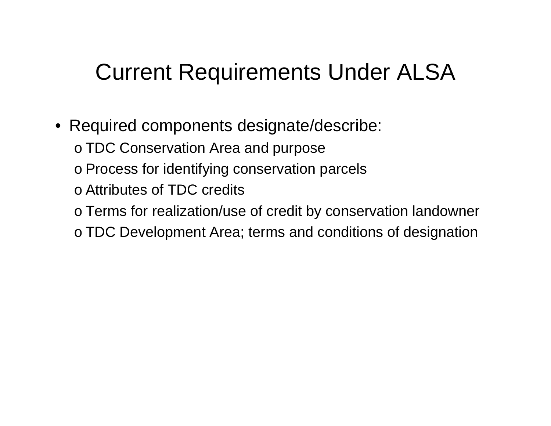# Current Requirements Under ALSA

- Required components designate/describe:
	- o TDC Conservation Area and purpose
	- o Process for identifying conservation parcels
	- $\circ$  Attributes of TDC credits
	- o Terms for realization/use of credit by conservation landowner
	- $\circ$  TDC Development Area; terms and conditions of designation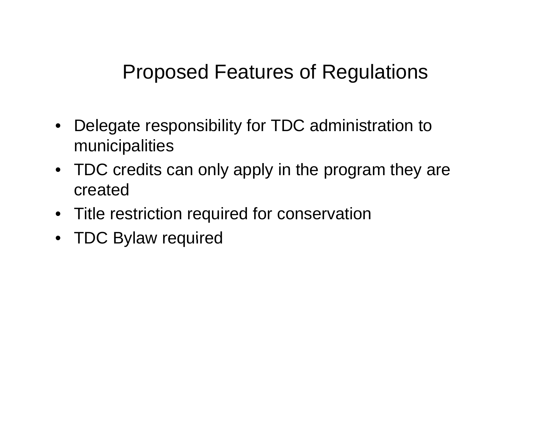#### Proposed Features of Regulations

- Delegate responsibility for TDC administration to municipalities
- TDC credits can only apply in the program they are created
- Title restriction required for conservation
- TDC Bylaw required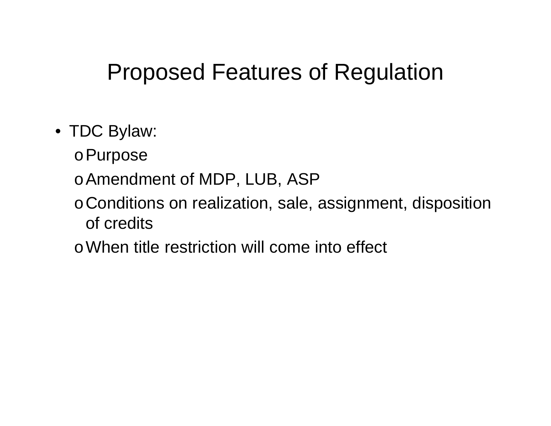## Proposed Features of Regulation

- TDC Bylaw:
	- <sup>o</sup>Purpose
	- o Amendment of MDP, LUB, ASP
	- <sup>o</sup>Conditions on realization, sale, assignment, disposition of credits
	- oWhen title restriction will come into effect